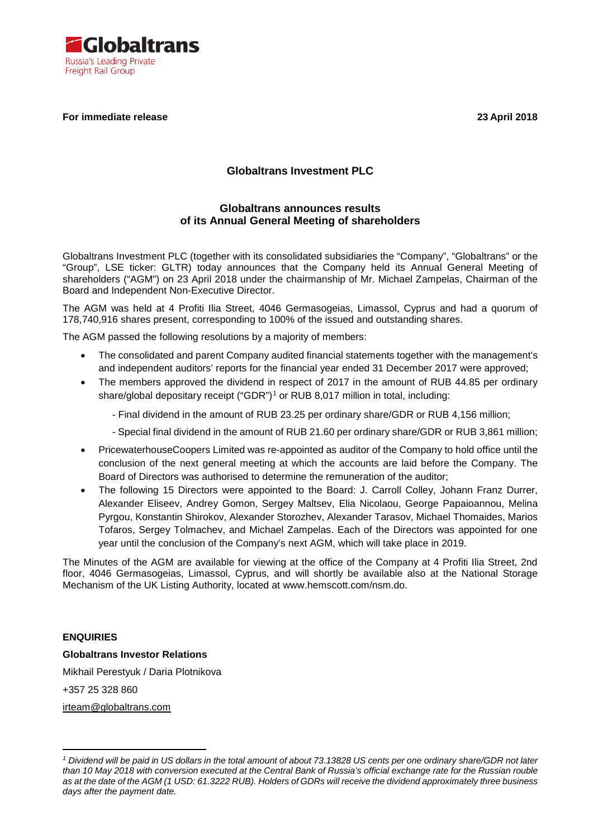

# **For immediate release 23 April 2018**

# **Globaltrans Investment PLC**

# **Globaltrans announces results of its Annual General Meeting of shareholders**

Globaltrans Investment PLC (together with its consolidated subsidiaries the "Company", "Globaltrans" or the "Group", LSE ticker: GLTR) today announces that the Company held its Annual General Meeting of shareholders ("AGM") on 23 April 2018 under the chairmanship of Mr. Michael Zampelas, Chairman of the Board and Independent Non-Executive Director.

The AGM was held at 4 Profiti Ilia Street, 4046 Germasogeias, Limassol, Cyprus and had a quorum of 178,740,916 shares present, corresponding to 100% of the issued and outstanding shares.

The AGM passed the following resolutions by a majority of members:

- The consolidated and parent Company audited financial statements together with the management's and independent auditors' reports for the financial year ended 31 December 2017 were approved;
- The members approved the dividend in respect of 2017 in the amount of RUB 44.85 per ordinary share/global depositary receipt ("GDR")<sup>[1](#page-0-0)</sup> or RUB 8,017 million in total, including:
	- Final dividend in the amount of RUB 23.25 per ordinary share/GDR or RUB 4,156 million;
	- Special final dividend in the amount of RUB 21.60 per ordinary share/GDR or RUB 3,861 million;
- PricewaterhouseCoopers Limited was re-appointed as auditor of the Company to hold office until the conclusion of the next general meeting at which the accounts are laid before the Company. The Board of Directors was authorised to determine the remuneration of the auditor;
- The following 15 Directors were appointed to the Board: J. Carroll Colley, Johann Franz Durrer, Alexander Eliseev, Andrey Gomon, Sergey Maltsev, Elia Nicolaou, George Papaioannou, Melina Pyrgou, Konstantin Shirokov, Alexander Storozhev, Alexander Tarasov, Michael Thomaides, Marios Tofaros, Sergey Tolmachev, and Michael Zampelas. Each of the Directors was appointed for one year until the conclusion of the Company's next AGM, which will take place in 2019.

The Minutes of the AGM are available for viewing at the office of the Company at 4 Profiti Ilia Street, 2nd floor, 4046 Germasogeias, Limassol, Cyprus, and will shortly be available also at the National Storage Mechanism of the UK Listing Authority, located at www.hemscott.com/nsm.do.

# **ENQUIRIES**

#### **Globaltrans Investor Relations**

Mikhail Perestyuk / Daria Plotnikova

+357 25 328 860

[irteam@globaltrans.com](mailto:irteam@globaltrans.com)

<span id="page-0-0"></span><sup>-</sup>*<sup>1</sup> Dividend will be paid in US dollars in the total amount of about 73.13828 US cents per one ordinary share/GDR not later than 10 May 2018 with conversion executed at the Central Bank of Russia's official exchange rate for the Russian rouble as at the date of the AGM (1 USD: 61.3222 RUB). Holders of GDRs will receive the dividend approximately three business days after the payment date.*